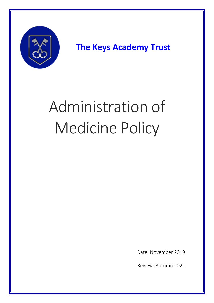

**The Keys Academy Trust**

# Administration of Medicine Policy

Date: November 2019

Review: Autumn 2021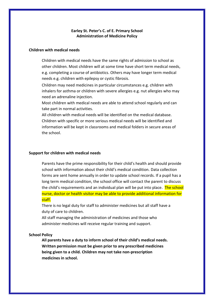## **Earley St. Peter's C. of E. Primary School Administration of Medicine Policy**

### **Children with medical needs**

Children with medical needs have the same rights of admission to school as other children. Most children will at some time have short term medical needs, e.g. completing a course of antibiotics. Others may have longer term medical needs e.g. children with epilepsy or cystic fibrosis.

Children may need medicines in particular circumstances e.g. children with inhalers for asthma or children with severe allergies e.g. nut allergies who may need an adrenaline injection.

Most children with medical needs are able to attend school regularly and can take part in normal activities.

All children with medical needs will be identified on the medical database. Children with specific or more serious medical needs will be identified and information will be kept in classrooms and medical folders in secure areas of the school.

#### **Support for children with medical needs**

Parents have the prime responsibility for their child's health and should provide school with information about their child's medical condition. Data collection forms are sent home annually in order to update school records. If a pupil has a long term medical condition, the school office will contact the parent to discuss the child's requirements and an individual plan will be put into place. The school nurse, doctor or health visitor may be able to provide additional information for staff.

There is no legal duty for staff to administer medicines but all staff have a duty of care to children.

All staff managing the administration of medicines and those who administer medicines will receive regular training and support.

#### **School Policy**

**All parents have a duty to inform school of their child's medical needs. Written permission must be given prior to any prescribed medicines being given to a child. Children may not take non-prescription medicines in school.**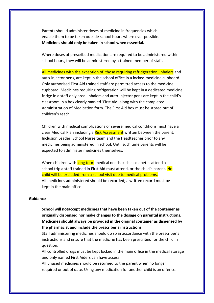Parents should administer doses of medicine in frequencies which enable them to be taken outside school hours where ever possible. **Medicines should only be taken in school when essential.** 

Where doses of prescribed medication are required to be administered within school hours, they will be administered by a trained member of staff.

All medicines with the exception of those requiring refridgeration, inhalers and auto-injector pens, are kept in the school office in a locked medicine cupboard. Only authorised First Aid trained staff are permitted access to the medicine cupboard. Medicines requiring refrigeration will be kept in a dedicated medicine fridge in a staff only area. Inhalers and auto-injector pens are kept in the child's classroom in a box clearly marked 'First Aid' along with the completed Administration of Medication form. The First Aid box must be stored out of children's reach.

Children with medical complications or severe medical conditions must have a clear Medical Plan including a Risk Assessment written between the parent, Inclusion Leader, School Nurse team and the Headteacher prior to any medicines being administered in school. Until such time parents will be expected to administer medicines themselves.

When children with long term medical needs such as diabetes attend a school trip a staff trained in First Aid must attend, or the child's parent. No child will be excluded from a school visit due to medical problems. All medicines administered should be recorded; a written record must be kept in the main office.

#### **Guidance**

**School will notaccept medicines that have been taken out of the container as originally dispensed nor make changes to the dosage on parental instructions. Medicines should always be provided in the original container as dispensed by the pharmacist and include the prescriber's instructions.**

Staff administering medicines should do so in accordance with the prescriber's instructions and ensure that the medicine has been prescribed for the child in question.

All controlled drugs must be kept locked in the main office in the medical storage and only named First Aiders can have access.

All unused medicines should be returned to the parent when no longer required or out of date. Using any medication for another child is an offence.